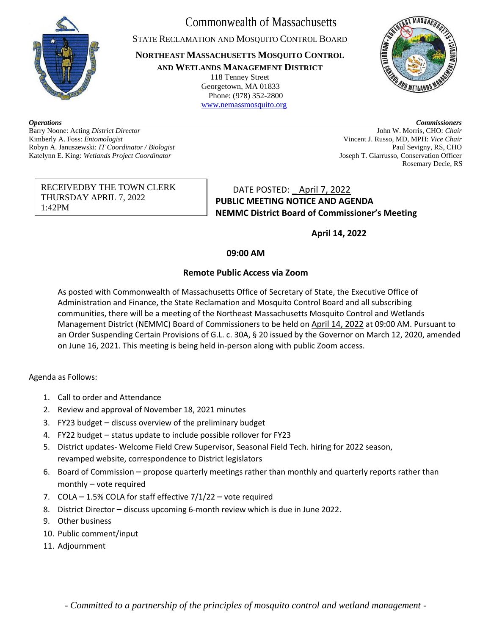

Commonwealth of Massachusetts

STATE RECLAMATION AND MOSQUITO CONTROL BOARD

**NORTHEAST MASSACHUSETTS MOSQUITO CONTROL AND WETLANDS MANAGEMENT DISTRICT**

118 Tenney Street Georgetown, MA 01833 Phone: (978) 352-2800 [www.nemassmosquito.org](http://www.nemassmosquito.org/)



Kimberly A. Foss: *Entomologist* Vincent J. Russo, MD, MPH: *Vice Chair* Robyn A. Januszewski: *IT Coordinator / Biologist* Paul Sevigny, RS, CHO Katelynn E. King: *Wetlands Project Coordinator* Joseph T. Giarrusso, Conservation Officer

*Operations Commissioners*  Barry Noone: Acting *District Director* John W. Morris, CHO: *Chair* Rosemary Decie, RS

## RECEIVEDBY THE TOWN CLERK THURSDAY APRIL 7, 2022 1:42PM

DATE POSTED: \_ April 7, 2022 **PUBLIC MEETING NOTICE AND AGENDA NEMMC District Board of Commissioner's Meeting**

**April 14, 2022**

## **09:00 AM**

## **Remote Public Access via Zoom**

As posted with Commonwealth of Massachusetts Office of Secretary of State, the Executive Office of Administration and Finance, the State Reclamation and Mosquito Control Board and all subscribing communities, there will be a meeting of the Northeast Massachusetts Mosquito Control and Wetlands Management District (NEMMC) Board of Commissioners to be held on April 14, 2022 at 09:00 AM. Pursuant to an Order Suspending Certain Provisions of G.L. c. 30A, § 20 issued by the Governor on March 12, 2020, amended on June 16, 2021. This meeting is being held in-person along with public Zoom access.

Agenda as Follows:

- 1. Call to order and Attendance
- 2. Review and approval of November 18, 2021 minutes
- 3. FY23 budget discuss overview of the preliminary budget
- 4. FY22 budget status update to include possible rollover for FY23
- 5. District updates- Welcome Field Crew Supervisor, Seasonal Field Tech. hiring for 2022 season, revamped website, correspondence to District legislators
- 6. Board of Commission propose quarterly meetings rather than monthly and quarterly reports rather than monthly – vote required
- 7. COLA 1.5% COLA for staff effective 7/1/22 vote required
- 8. District Director discuss upcoming 6-month review which is due in June 2022.
- 9. Other business
- 10. Public comment/input
- 11. Adjournment

*- Committed to a partnership of the principles of mosquito control and wetland management -*